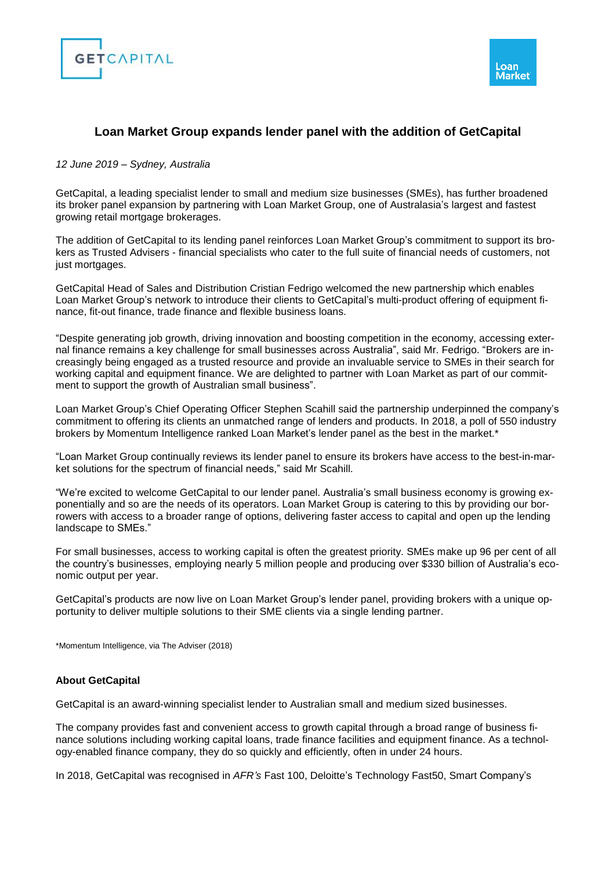



## **Loan Market Group expands lender panel with the addition of GetCapital**

## *12 June 2019 – Sydney, Australia*

GetCapital, a leading specialist lender to small and medium size businesses (SMEs), has further broadened its broker panel expansion by partnering with Loan Market Group, one of Australasia's largest and fastest growing retail mortgage brokerages.

The addition of GetCapital to its lending panel reinforces Loan Market Group's commitment to support its brokers as Trusted Advisers - financial specialists who cater to the full suite of financial needs of customers, not just mortgages.

GetCapital Head of Sales and Distribution Cristian Fedrigo welcomed the new partnership which enables Loan Market Group's network to introduce their clients to GetCapital's multi-product offering of equipment finance, fit-out finance, trade finance and flexible business loans.

"Despite generating job growth, driving innovation and boosting competition in the economy, accessing external finance remains a key challenge for small businesses across Australia", said Mr. Fedrigo. "Brokers are increasingly being engaged as a trusted resource and provide an invaluable service to SMEs in their search for working capital and equipment finance. We are delighted to partner with Loan Market as part of our commitment to support the growth of Australian small business".

Loan Market Group's Chief Operating Officer Stephen Scahill said the partnership underpinned the company's commitment to offering its clients an unmatched range of lenders and products. In 2018, a poll of 550 industry brokers by Momentum Intelligence ranked Loan Market's lender panel as the best in the market.\*

"Loan Market Group continually reviews its lender panel to ensure its brokers have access to the best-in-market solutions for the spectrum of financial needs," said Mr Scahill.

"We're excited to welcome GetCapital to our lender panel. Australia's small business economy is growing exponentially and so are the needs of its operators. Loan Market Group is catering to this by providing our borrowers with access to a broader range of options, delivering faster access to capital and open up the lending landscape to SMEs."

For small businesses, access to working capital is often the greatest priority. SMEs make up 96 per cent of all the country's businesses, employing nearly 5 million people and producing over \$330 billion of Australia's economic output per year.

GetCapital's products are now live on Loan Market Group's lender panel, providing brokers with a unique opportunity to deliver multiple solutions to their SME clients via a single lending partner.

\*Momentum Intelligence, via The Adviser (2018)

## **About GetCapital**

GetCapital is an award-winning specialist lender to Australian small and medium sized businesses.

The company provides fast and convenient access to growth capital through a broad range of business finance solutions including working capital loans, trade finance facilities and equipment finance. As a technology-enabled finance company, they do so quickly and efficiently, often in under 24 hours.

In 2018, GetCapital was recognised in *AFR's* Fast 100, Deloitte's Technology Fast50, Smart Company's